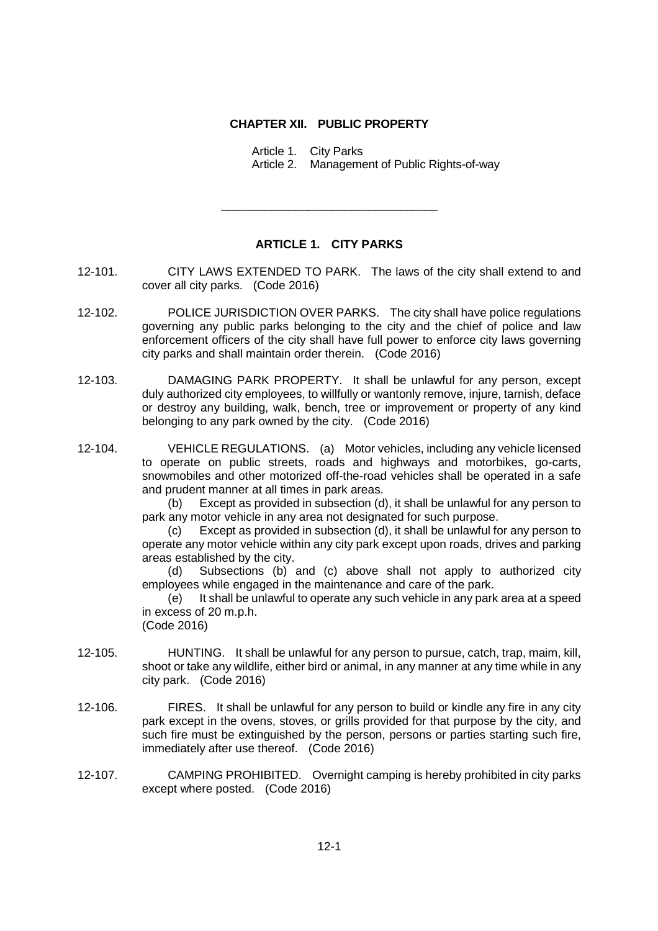## **CHAPTER XII. PUBLIC PROPERTY**

Article 1. City Parks

Article 2. Management of Public Rights-of-way

## **ARTICLE 1. CITY PARKS**

\_\_\_\_\_\_\_\_\_\_\_\_\_\_\_\_\_\_\_\_\_\_\_\_\_\_\_\_\_\_\_\_\_\_\_

- 12-101. CITY LAWS EXTENDED TO PARK. The laws of the city shall extend to and cover all city parks. (Code 2016)
- 12-102. POLICE JURISDICTION OVER PARKS. The city shall have police regulations governing any public parks belonging to the city and the chief of police and law enforcement officers of the city shall have full power to enforce city laws governing city parks and shall maintain order therein. (Code 2016)
- 12-103. DAMAGING PARK PROPERTY. It shall be unlawful for any person, except duly authorized city employees, to willfully or wantonly remove, injure, tarnish, deface or destroy any building, walk, bench, tree or improvement or property of any kind belonging to any park owned by the city. (Code 2016)
- 12-104. VEHICLE REGULATIONS. (a) Motor vehicles, including any vehicle licensed to operate on public streets, roads and highways and motorbikes, go-carts, snowmobiles and other motorized off-the-road vehicles shall be operated in a safe and prudent manner at all times in park areas.

(b) Except as provided in subsection (d), it shall be unlawful for any person to park any motor vehicle in any area not designated for such purpose.

(c) Except as provided in subsection (d), it shall be unlawful for any person to operate any motor vehicle within any city park except upon roads, drives and parking areas established by the city.

(d) Subsections (b) and (c) above shall not apply to authorized city employees while engaged in the maintenance and care of the park.

(e) It shall be unlawful to operate any such vehicle in any park area at a speed in excess of 20 m.p.h.

(Code 2016)

- 12-105. HUNTING. It shall be unlawful for any person to pursue, catch, trap, maim, kill, shoot or take any wildlife, either bird or animal, in any manner at any time while in any city park. (Code 2016)
- 12-106. FIRES. It shall be unlawful for any person to build or kindle any fire in any city park except in the ovens, stoves, or grills provided for that purpose by the city, and such fire must be extinguished by the person, persons or parties starting such fire, immediately after use thereof. (Code 2016)
- 12-107. CAMPING PROHIBITED. Overnight camping is hereby prohibited in city parks except where posted. (Code 2016)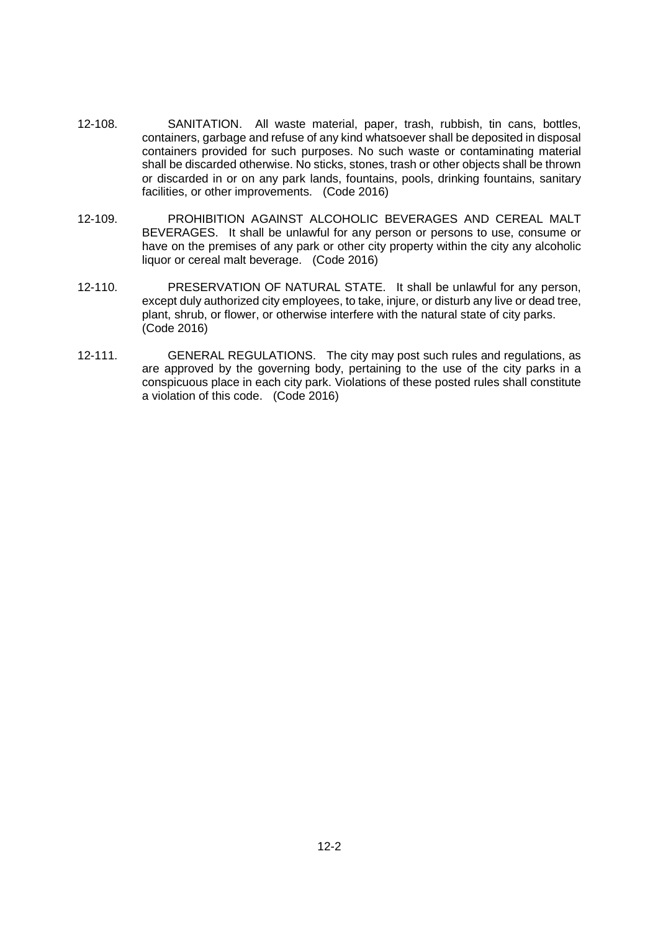- 12-108. SANITATION. All waste material, paper, trash, rubbish, tin cans, bottles, containers, garbage and refuse of any kind whatsoever shall be deposited in disposal containers provided for such purposes. No such waste or contaminating material shall be discarded otherwise. No sticks, stones, trash or other objects shall be thrown or discarded in or on any park lands, fountains, pools, drinking fountains, sanitary facilities, or other improvements. (Code 2016)
- 12-109. PROHIBITION AGAINST ALCOHOLIC BEVERAGES AND CEREAL MALT BEVERAGES. It shall be unlawful for any person or persons to use, consume or have on the premises of any park or other city property within the city any alcoholic liquor or cereal malt beverage. (Code 2016)
- 12-110. PRESERVATION OF NATURAL STATE. It shall be unlawful for any person, except duly authorized city employees, to take, injure, or disturb any live or dead tree, plant, shrub, or flower, or otherwise interfere with the natural state of city parks. (Code 2016)
- 12-111. GENERAL REGULATIONS. The city may post such rules and regulations, as are approved by the governing body, pertaining to the use of the city parks in a conspicuous place in each city park. Violations of these posted rules shall constitute a violation of this code. (Code 2016)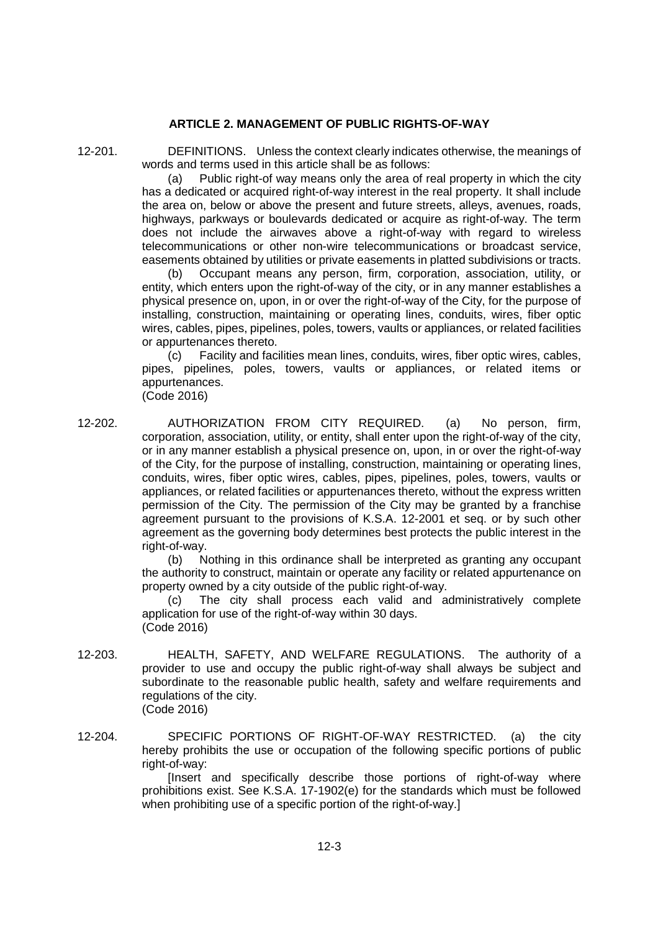## **ARTICLE 2. MANAGEMENT OF PUBLIC RIGHTS-OF-WAY**

12-201. DEFINITIONS. Unless the context clearly indicates otherwise, the meanings of words and terms used in this article shall be as follows:

(a) Public right-of way means only the area of real property in which the city has a dedicated or acquired right-of-way interest in the real property. It shall include the area on, below or above the present and future streets, alleys, avenues, roads, highways, parkways or boulevards dedicated or acquire as right-of-way. The term does not include the airwaves above a right-of-way with regard to wireless telecommunications or other non-wire telecommunications or broadcast service, easements obtained by utilities or private easements in platted subdivisions or tracts.

(b) Occupant means any person, firm, corporation, association, utility, or entity, which enters upon the right-of-way of the city, or in any manner establishes a physical presence on, upon, in or over the right-of-way of the City, for the purpose of installing, construction, maintaining or operating lines, conduits, wires, fiber optic wires, cables, pipes, pipelines, poles, towers, vaults or appliances, or related facilities or appurtenances thereto.

(c) Facility and facilities mean lines, conduits, wires, fiber optic wires, cables, pipes, pipelines, poles, towers, vaults or appliances, or related items or appurtenances.

(Code 2016)

12-202. AUTHORIZATION FROM CITY REQUIRED. (a) No person, firm, corporation, association, utility, or entity, shall enter upon the right-of-way of the city, or in any manner establish a physical presence on, upon, in or over the right-of-way of the City, for the purpose of installing, construction, maintaining or operating lines, conduits, wires, fiber optic wires, cables, pipes, pipelines, poles, towers, vaults or appliances, or related facilities or appurtenances thereto, without the express written permission of the City. The permission of the City may be granted by a franchise agreement pursuant to the provisions of K.S.A. 12-2001 et seq. or by such other agreement as the governing body determines best protects the public interest in the right-of-way.

(b) Nothing in this ordinance shall be interpreted as granting any occupant the authority to construct, maintain or operate any facility or related appurtenance on property owned by a city outside of the public right-of-way.

(c) The city shall process each valid and administratively complete application for use of the right-of-way within 30 days. (Code 2016)

- 12-203. HEALTH, SAFETY, AND WELFARE REGULATIONS. The authority of a provider to use and occupy the public right-of-way shall always be subject and subordinate to the reasonable public health, safety and welfare requirements and regulations of the city. (Code 2016)
- 12-204. SPECIFIC PORTIONS OF RIGHT-OF-WAY RESTRICTED. (a) the city hereby prohibits the use or occupation of the following specific portions of public right-of-way:

[Insert and specifically describe those portions of right-of-way where prohibitions exist. See K.S.A. 17-1902(e) for the standards which must be followed when prohibiting use of a specific portion of the right-of-way.]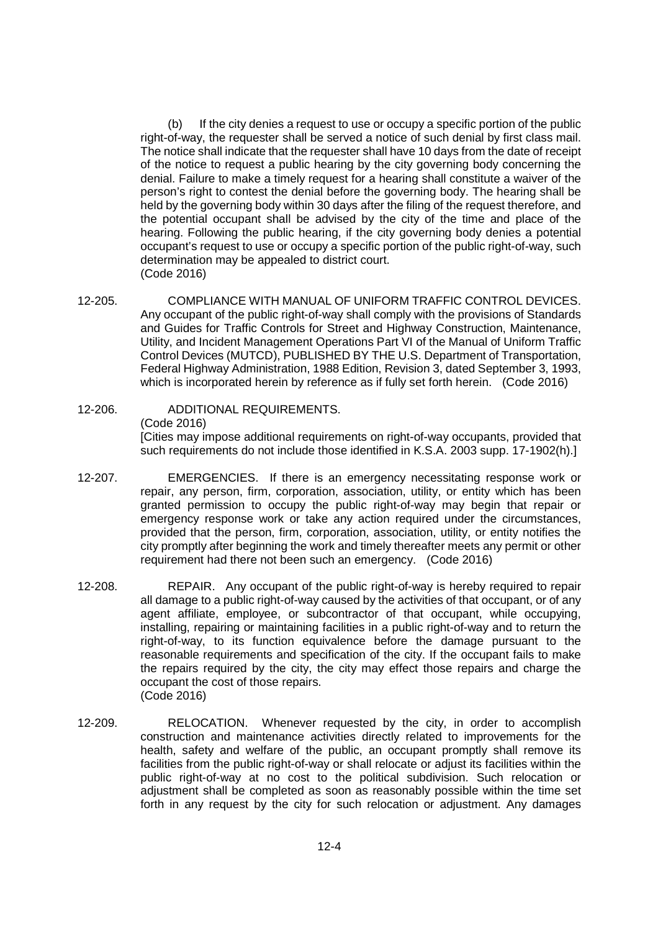(b) If the city denies a request to use or occupy a specific portion of the public right-of-way, the requester shall be served a notice of such denial by first class mail. The notice shall indicate that the requester shall have 10 days from the date of receipt of the notice to request a public hearing by the city governing body concerning the denial. Failure to make a timely request for a hearing shall constitute a waiver of the person's right to contest the denial before the governing body. The hearing shall be held by the governing body within 30 days after the filing of the request therefore, and the potential occupant shall be advised by the city of the time and place of the hearing. Following the public hearing, if the city governing body denies a potential occupant's request to use or occupy a specific portion of the public right-of-way, such determination may be appealed to district court. (Code 2016)

- 12-205. COMPLIANCE WITH MANUAL OF UNIFORM TRAFFIC CONTROL DEVICES. Any occupant of the public right-of-way shall comply with the provisions of Standards and Guides for Traffic Controls for Street and Highway Construction, Maintenance, Utility, and Incident Management Operations Part VI of the Manual of Uniform Traffic Control Devices (MUTCD), PUBLISHED BY THE U.S. Department of Transportation, Federal Highway Administration, 1988 Edition, Revision 3, dated September 3, 1993, which is incorporated herein by reference as if fully set forth herein. (Code 2016)
- 12-206. ADDITIONAL REQUIREMENTS. (Code 2016) [Cities may impose additional requirements on right-of-way occupants, provided that such requirements do not include those identified in K.S.A. 2003 supp. 17-1902(h).]
- 12-207. EMERGENCIES. If there is an emergency necessitating response work or repair, any person, firm, corporation, association, utility, or entity which has been granted permission to occupy the public right-of-way may begin that repair or emergency response work or take any action required under the circumstances, provided that the person, firm, corporation, association, utility, or entity notifies the city promptly after beginning the work and timely thereafter meets any permit or other requirement had there not been such an emergency. (Code 2016)
- 12-208. REPAIR. Any occupant of the public right-of-way is hereby required to repair all damage to a public right-of-way caused by the activities of that occupant, or of any agent affiliate, employee, or subcontractor of that occupant, while occupying, installing, repairing or maintaining facilities in a public right-of-way and to return the right-of-way, to its function equivalence before the damage pursuant to the reasonable requirements and specification of the city. If the occupant fails to make the repairs required by the city, the city may effect those repairs and charge the occupant the cost of those repairs. (Code 2016)
- 12-209. RELOCATION. Whenever requested by the city, in order to accomplish construction and maintenance activities directly related to improvements for the health, safety and welfare of the public, an occupant promptly shall remove its facilities from the public right-of-way or shall relocate or adjust its facilities within the public right-of-way at no cost to the political subdivision. Such relocation or adjustment shall be completed as soon as reasonably possible within the time set forth in any request by the city for such relocation or adjustment. Any damages